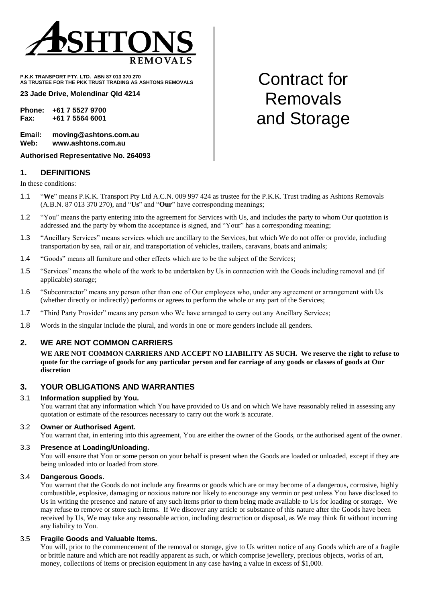

**P.K.K TRANSPORT PTY. LTD. ABN 87 013 370 270 AS TRUSTEE FOR THE PKK TRUST TRADING AS ASHTONS REMOVALS**

## **23 Jade Drive, Molendinar Qld 4214**

**Phone: +61 7 5527 9700 Fax: +61 7 5564 6001**

**Email: moving@ashtons.com.au Web: www.ashtons.com.au**

## **Authorised Representative No. 264093**

# **1. DEFINITIONS**

In these conditions:

- 1.1 "**We**" means P.K.K. Transport Pty Ltd A.C.N. 009 997 424 as trustee for the P.K.K. Trust trading as Ashtons Removals (A.B.N. 87 013 370 270), and "**Us**" and "**Our**" have corresponding meanings;
- 1.2 "You" means the party entering into the agreement for Services with Us, and includes the party to whom Our quotation is addressed and the party by whom the acceptance is signed, and "Your" has a corresponding meaning;
- 1.3 "Ancillary Services" means services which are ancillary to the Services, but which We do not offer or provide, including transportation by sea, rail or air, and transportation of vehicles, trailers, caravans, boats and animals;
- 1.4 "Goods" means all furniture and other effects which are to be the subject of the Services;
- 1.5 "Services" means the whole of the work to be undertaken by Us in connection with the Goods including removal and (if applicable) storage;
- 1.6 "Subcontractor" means any person other than one of Our employees who, under any agreement or arrangement with Us (whether directly or indirectly) performs or agrees to perform the whole or any part of the Services;
- 1.7 "Third Party Provider" means any person who We have arranged to carry out any Ancillary Services;
- 1.8 Words in the singular include the plural, and words in one or more genders include all genders.

# **2. WE ARE NOT COMMON CARRIERS**

**WE ARE NOT COMMON CARRIERS AND ACCEPT NO LIABILITY AS SUCH. We reserve the right to refuse to quote for the carriage of goods for any particular person and for carriage of any goods or classes of goods at Our discretion**

# **3. YOUR OBLIGATIONS AND WARRANTIES**

## 3.1 **Information supplied by You.**

You warrant that any information which You have provided to Us and on which We have reasonably relied in assessing any quotation or estimate of the resources necessary to carry out the work is accurate.

# 3.2 **Owner or Authorised Agent.**

You warrant that, in entering into this agreement, You are either the owner of the Goods, or the authorised agent of the owner.

## 3.3 **Presence at Loading/Unloading.**

You will ensure that You or some person on your behalf is present when the Goods are loaded or unloaded, except if they are being unloaded into or loaded from store.

# 3.4 **Dangerous Goods.**

You warrant that the Goods do not include any firearms or goods which are or may become of a dangerous, corrosive, highly combustible, explosive, damaging or noxious nature nor likely to encourage any vermin or pest unless You have disclosed to Us in writing the presence and nature of any such items prior to them being made available to Us for loading or storage. We may refuse to remove or store such items. If We discover any article or substance of this nature after the Goods have been received by Us, We may take any reasonable action, including destruction or disposal, as We may think fit without incurring any liability to You.

#### 3.5 **Fragile Goods and Valuable Items.**

You will, prior to the commencement of the removal or storage, give to Us written notice of any Goods which are of a fragile or brittle nature and which are not readily apparent as such, or which comprise jewellery, precious objects, works of art, money, collections of items or precision equipment in any case having a value in excess of \$1,000.

# Contract for Removals and Storage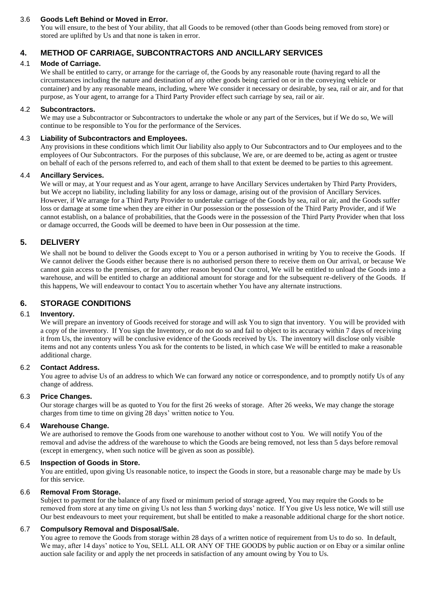# 3.6 **Goods Left Behind or Moved in Error.**

You will ensure, to the best of Your ability, that all Goods to be removed (other than Goods being removed from store) or stored are uplifted by Us and that none is taken in error.

# **4. METHOD OF CARRIAGE, SUBCONTRACTORS AND ANCILLARY SERVICES**

# 4.1 **Mode of Carriage.**

We shall be entitled to carry, or arrange for the carriage of, the Goods by any reasonable route (having regard to all the circumstances including the nature and destination of any other goods being carried on or in the conveying vehicle or container) and by any reasonable means, including, where We consider it necessary or desirable, by sea, rail or air, and for that purpose, as Your agent, to arrange for a Third Party Provider effect such carriage by sea, rail or air.

## 4.2 **Subcontractors.**

We may use a Subcontractor or Subcontractors to undertake the whole or any part of the Services, but if We do so, We will continue to be responsible to You for the performance of the Services.

#### 4.3 **Liability of Subcontractors and Employees.**

Any provisions in these conditions which limit Our liability also apply to Our Subcontractors and to Our employees and to the employees of Our Subcontractors. For the purposes of this subclause, We are, or are deemed to be, acting as agent or trustee on behalf of each of the persons referred to, and each of them shall to that extent be deemed to be parties to this agreement.

#### 4.4 **Ancillary Services.**

We will or may, at Your request and as Your agent, arrange to have Ancillary Services undertaken by Third Party Providers, but We accept no liability, including liability for any loss or damage, arising out of the provision of Ancillary Services. However, if We arrange for a Third Party Provider to undertake carriage of the Goods by sea, rail or air, and the Goods suffer loss or damage at some time when they are either in Our possession or the possession of the Third Party Provider, and if We cannot establish, on a balance of probabilities, that the Goods were in the possession of the Third Party Provider when that loss or damage occurred, the Goods will be deemed to have been in Our possession at the time.

# **5. DELIVERY**

We shall not be bound to deliver the Goods except to You or a person authorised in writing by You to receive the Goods. If We cannot deliver the Goods either because there is no authorised person there to receive them on Our arrival, or because We cannot gain access to the premises, or for any other reason beyond Our control, We will be entitled to unload the Goods into a warehouse, and will be entitled to charge an additional amount for storage and for the subsequent re-delivery of the Goods. If this happens, We will endeavour to contact You to ascertain whether You have any alternate instructions.

# **6. STORAGE CONDITIONS**

## 6.1 **Inventory.**

We will prepare an inventory of Goods received for storage and will ask You to sign that inventory. You will be provided with a copy of the inventory. If You sign the Inventory, or do not do so and fail to object to its accuracy within 7 days of receiving it from Us, the inventory will be conclusive evidence of the Goods received by Us. The inventory will disclose only visible items and not any contents unless You ask for the contents to be listed, in which case We will be entitled to make a reasonable additional charge.

#### 6.2 **Contact Address.**

You agree to advise Us of an address to which We can forward any notice or correspondence, and to promptly notify Us of any change of address.

# 6.3 **Price Changes.**

Our storage charges will be as quoted to You for the first 26 weeks of storage. After 26 weeks, We may change the storage charges from time to time on giving 28 days' written notice to You.

## 6.4 **Warehouse Change.**

We are authorised to remove the Goods from one warehouse to another without cost to You. We will notify You of the removal and advise the address of the warehouse to which the Goods are being removed, not less than 5 days before removal (except in emergency, when such notice will be given as soon as possible).

#### 6.5 **Inspection of Goods in Store.**

You are entitled, upon giving Us reasonable notice, to inspect the Goods in store, but a reasonable charge may be made by Us for this service.

## 6.6 **Removal From Storage.**

Subject to payment for the balance of any fixed or minimum period of storage agreed, You may require the Goods to be removed from store at any time on giving Us not less than 5 working days' notice. If You give Us less notice, We will still use Our best endeavours to meet your requirement, but shall be entitled to make a reasonable additional charge for the short notice.

## 6.7 **Compulsory Removal and Disposal/Sale.**

You agree to remove the Goods from storage within 28 days of a written notice of requirement from Us to do so. In default, We may, after 14 days' notice to You, SELL ALL OR ANY OF THE GOODS by public auction or on Ebay or a similar online auction sale facility or and apply the net proceeds in satisfaction of any amount owing by You to Us.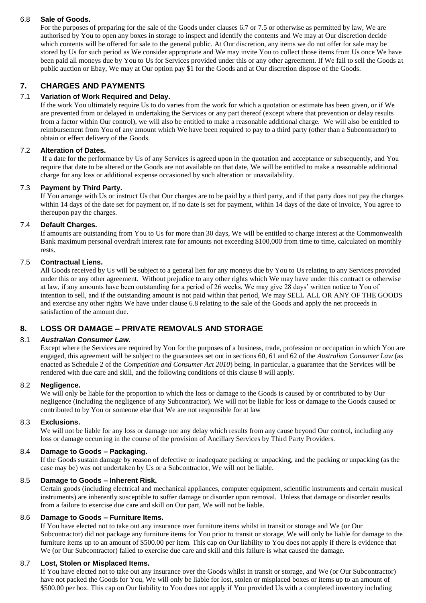# 6.8 **Sale of Goods.**

For the purposes of preparing for the sale of the Goods under clauses 6.7 or 7.5 or otherwise as permitted by law, We are authorised by You to open any boxes in storage to inspect and identify the contents and We may at Our discretion decide which contents will be offered for sale to the general public. At Our discretion, any items we do not offer for sale may be stored by Us for such period as We consider appropriate and We may invite You to collect those items from Us once We have been paid all moneys due by You to Us for Services provided under this or any other agreement. If We fail to sell the Goods at public auction or Ebay, We may at Our option pay \$1 for the Goods and at Our discretion dispose of the Goods.

# **7. CHARGES AND PAYMENTS**

# 7.1 **Variation of Work Required and Delay.**

If the work You ultimately require Us to do varies from the work for which a quotation or estimate has been given, or if We are prevented from or delayed in undertaking the Services or any part thereof (except where that prevention or delay results from a factor within Our control), we will also be entitled to make a reasonable additional charge. We will also be entitled to reimbursement from You of any amount which We have been required to pay to a third party (other than a Subcontractor) to obtain or effect delivery of the Goods.

# 7.2 **Alteration of Dates.**

If a date for the performance by Us of any Services is agreed upon in the quotation and acceptance or subsequently, and You require that date to be altered or the Goods are not available on that date, We will be entitled to make a reasonable additional charge for any loss or additional expense occasioned by such alteration or unavailability.

# 7.3 **Payment by Third Party.**

If You arrange with Us or instruct Us that Our charges are to be paid by a third party, and if that party does not pay the charges within 14 days of the date set for payment or, if no date is set for payment, within 14 days of the date of invoice, You agree to thereupon pay the charges.

# 7.4 **Default Charges.**

If amounts are outstanding from You to Us for more than 30 days, We will be entitled to charge interest at the Commonwealth Bank maximum personal overdraft interest rate for amounts not exceeding \$100,000 from time to time, calculated on monthly rests.

# 7.5 **Contractual Liens.**

All Goods received by Us will be subject to a general lien for any moneys due by You to Us relating to any Services provided under this or any other agreement. Without prejudice to any other rights which We may have under this contract or otherwise at law, if any amounts have been outstanding for a period of 26 weeks, We may give 28 days' written notice to You of intention to sell, and if the outstanding amount is not paid within that period, We may SELL ALL OR ANY OF THE GOODS and exercise any other rights We have under clause 6.8 relating to the sale of the Goods and apply the net proceeds in satisfaction of the amount due.

# **8. LOSS OR DAMAGE – PRIVATE REMOVALS AND STORAGE**

# 8.1 *Australian Consumer Law.*

Except where the Services are required by You for the purposes of a business, trade, profession or occupation in which You are engaged, this agreement will be subject to the guarantees set out in sections 60, 61 and 62 of the *Australian Consumer Law* (as enacted as Schedule 2 of the *Competition and Consumer Act 2010*) being, in particular, a guarantee that the Services will be rendered with due care and skill, and the following conditions of this clause 8 will apply.

# 8.2 **Negligence.**

We will only be liable for the proportion to which the loss or damage to the Goods is caused by or contributed to by Our negligence (including the negligence of any Subcontractor). We will not be liable for loss or damage to the Goods caused or contributed to by You or someone else that We are not responsible for at law

# 8.3 **Exclusions.**

We will not be liable for any loss or damage nor any delay which results from any cause beyond Our control, including any loss or damage occurring in the course of the provision of Ancillary Services by Third Party Providers.

## 8.4 **Damage to Goods – Packaging.**

If the Goods sustain damage by reason of defective or inadequate packing or unpacking, and the packing or unpacking (as the case may be) was not undertaken by Us or a Subcontractor, We will not be liable.

## 8.5 **Damage to Goods – Inherent Risk.**

Certain goods (including electrical and mechanical appliances, computer equipment, scientific instruments and certain musical instruments) are inherently susceptible to suffer damage or disorder upon removal. Unless that damage or disorder results from a failure to exercise due care and skill on Our part, We will not be liable.

## 8.6 **Damage to Goods – Furniture Items.**

If You have elected not to take out any insurance over furniture items whilst in transit or storage and We (or Our Subcontractor) did not package any furniture items for You prior to transit or storage, We will only be liable for damage to the furniture items up to an amount of \$500.00 per item. This cap on Our liability to You does not apply if there is evidence that We (or Our Subcontractor) failed to exercise due care and skill and this failure is what caused the damage.

## 8.7 **Lost, Stolen or Misplaced Items.**

If You have elected not to take out any insurance over the Goods whilst in transit or storage, and We (or Our Subcontractor) have not packed the Goods for You, We will only be liable for lost, stolen or misplaced boxes or items up to an amount of \$500.00 per box. This cap on Our liability to You does not apply if You provided Us with a completed inventory including